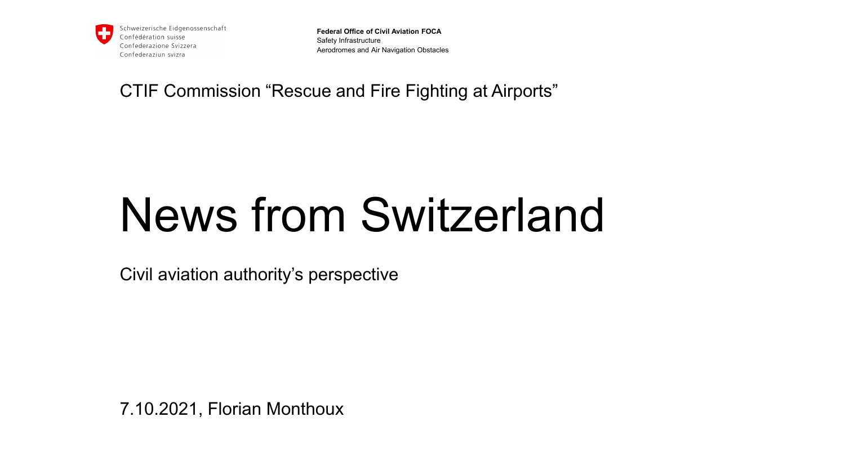

**Federal Office of Civil Aviation FOCA** Safety Infrastructure Aerodromes and Air Navigation Obstacles

CTIF Commission "Rescue and Fire Fighting at Airports"

## News from Switzerland

Civil aviation authority's perspective

7.10.2021, Florian Monthoux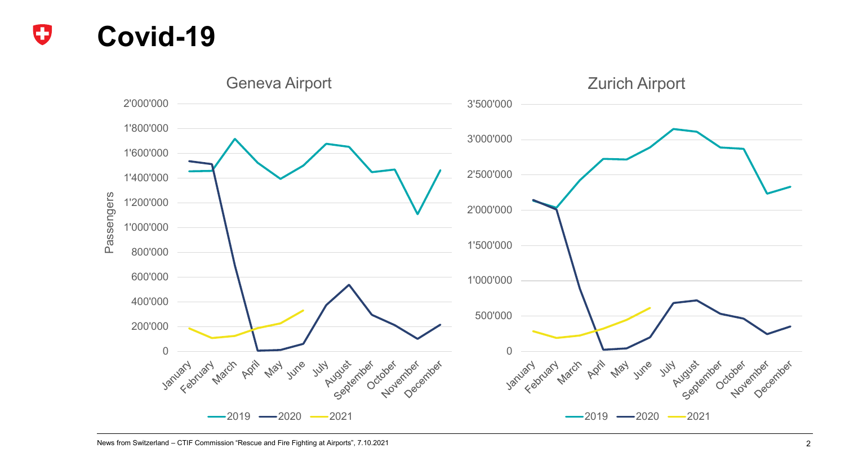

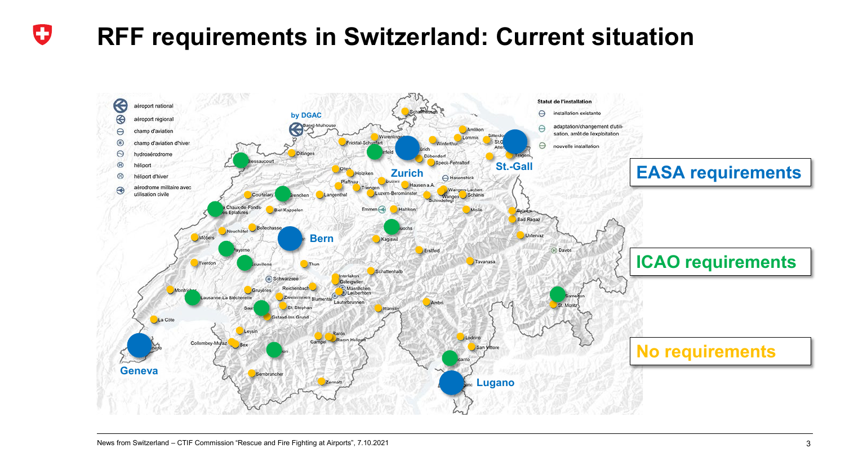## O **RFF requirements in Switzerland: Current situation**

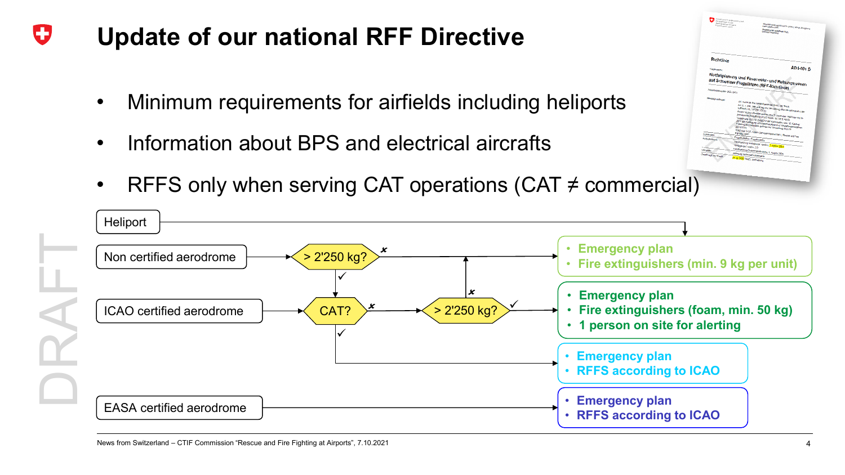## O **Update of our national RFF Directive**

- Minimum requirements for airfields including heliports
- Information about BPS and electrical aircrafts
- RFFS only when serving CAT operations (CAT  $\neq$  commercial)



AD 1-001 D

lanung und Feuerwehr- und Rettungswesen<br><sup>veizer Flugplätzen (RFF-Richtlinis)</sup> is analy und Feuerwehr- und Rett<br>weizer Flugplätzen (RFF-Richtlin

 $Richm$